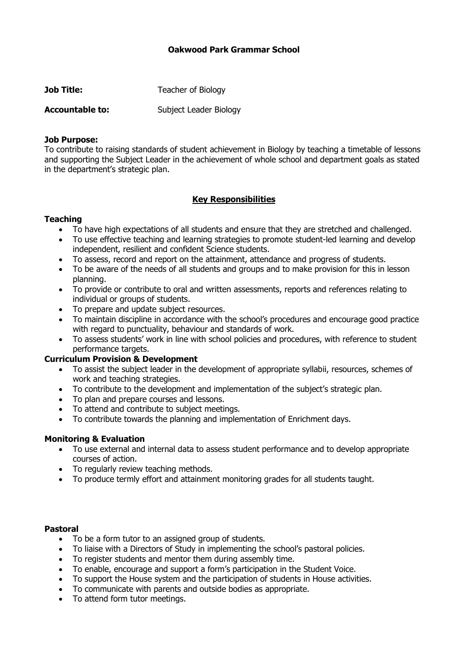# **Oakwood Park Grammar School**

| <b>Job Title:</b>      | Teacher of Biology     |
|------------------------|------------------------|
| <b>Accountable to:</b> | Subject Leader Biology |

#### **Job Purpose:**

To contribute to raising standards of student achievement in Biology by teaching a timetable of lessons and supporting the Subject Leader in the achievement of whole school and department goals as stated in the department's strategic plan.

## **Key Responsibilities**

### **Teaching**

- To have high expectations of all students and ensure that they are stretched and challenged.
- To use effective teaching and learning strategies to promote student-led learning and develop independent, resilient and confident Science students.
- To assess, record and report on the attainment, attendance and progress of students.
- To be aware of the needs of all students and groups and to make provision for this in lesson planning.
- To provide or contribute to oral and written assessments, reports and references relating to individual or groups of students.
- To prepare and update subject resources.
- To maintain discipline in accordance with the school's procedures and encourage good practice with regard to punctuality, behaviour and standards of work.
- To assess students' work in line with school policies and procedures, with reference to student performance targets.

### **Curriculum Provision & Development**

- To assist the subject leader in the development of appropriate syllabii, resources, schemes of work and teaching strategies.
- To contribute to the development and implementation of the subject's strategic plan.
- To plan and prepare courses and lessons.
- To attend and contribute to subject meetings.
- To contribute towards the planning and implementation of Enrichment days.

### **Monitoring & Evaluation**

- To use external and internal data to assess student performance and to develop appropriate courses of action.
- To regularly review teaching methods.
- To produce termly effort and attainment monitoring grades for all students taught.

#### **Pastoral**

- To be a form tutor to an assigned group of students.
- To liaise with a Directors of Study in implementing the school's pastoral policies.
- To register students and mentor them during assembly time.
- To enable, encourage and support a form's participation in the Student Voice.
- To support the House system and the participation of students in House activities.
- To communicate with parents and outside bodies as appropriate.
- To attend form tutor meetings.